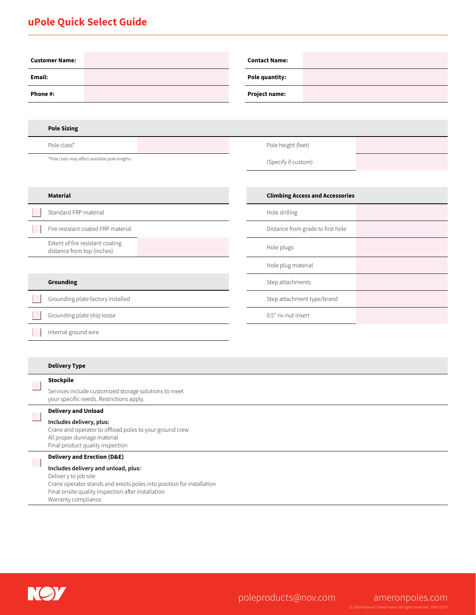## **uPole Quick Select Guide**

| <b>Contact Name:</b>                   |  |  |  |  |
|----------------------------------------|--|--|--|--|
| Pole quantity:                         |  |  |  |  |
| Project name:                          |  |  |  |  |
|                                        |  |  |  |  |
|                                        |  |  |  |  |
| Pole height (feet)                     |  |  |  |  |
| (Specify if custom)                    |  |  |  |  |
|                                        |  |  |  |  |
| <b>Climbing Access and Accessories</b> |  |  |  |  |
| Hole drilling                          |  |  |  |  |
| Distance from grade to first hole      |  |  |  |  |
| Hole plugs                             |  |  |  |  |
| Hole plug material                     |  |  |  |  |
| Step attachments                       |  |  |  |  |
| Step attachment type/brand             |  |  |  |  |
| 0.5" riv-nut insert                    |  |  |  |  |
|                                        |  |  |  |  |
|                                        |  |  |  |  |
|                                        |  |  |  |  |

#### **Delivery Type**

### **Stockpile** Π Services include customized storage solutions to meet your specific needs. Restrictions apply. **Delivery and Unload Includes delivery, plus:** Crane and operator to offload poles to your ground crew All proper dunnage material Final product quality inspection

### **Delivery and Erection (D&E)**

**Includes delivery and unload, plus:**

Deliver y to job site Crane operator stands and erects poles into position for installation Final onsite quality inspection after installation

Warranty compliance